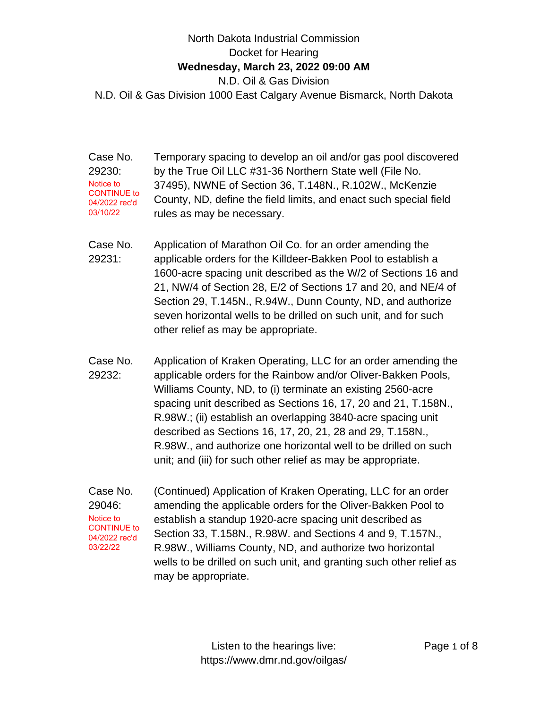## North Dakota Industrial Commission Docket for Hearing **Wednesday, March 23, 2022 09:00 AM** N.D. Oil & Gas Division N.D. Oil & Gas Division 1000 East Calgary Avenue Bismarck, North Dakota

Case No. 29230: Temporary spacing to develop an oil and/or gas pool discovered by the True Oil LLC #31-36 Northern State well (File No. 37495), NWNE of Section 36, T.148N., R.102W., McKenzie County, ND, define the field limits, and enact such special field rules as may be necessary. Notice to CONTINUE to 04/2022 rec'd 03/10/22

- Case No. 29231: Application of Marathon Oil Co. for an order amending the applicable orders for the Killdeer-Bakken Pool to establish a 1600-acre spacing unit described as the W/2 of Sections 16 and 21, NW/4 of Section 28, E/2 of Sections 17 and 20, and NE/4 of Section 29, T.145N., R.94W., Dunn County, ND, and authorize seven horizontal wells to be drilled on such unit, and for such other relief as may be appropriate.
- Case No. 29232: Application of Kraken Operating, LLC for an order amending the applicable orders for the Rainbow and/or Oliver-Bakken Pools, Williams County, ND, to (i) terminate an existing 2560-acre spacing unit described as Sections 16, 17, 20 and 21, T.158N., R.98W.; (ii) establish an overlapping 3840-acre spacing unit described as Sections 16, 17, 20, 21, 28 and 29, T.158N., R.98W., and authorize one horizontal well to be drilled on such unit; and (iii) for such other relief as may be appropriate.
- Case No. 29046: (Continued) Application of Kraken Operating, LLC for an order amending the applicable orders for the Oliver-Bakken Pool to establish a standup 1920-acre spacing unit described as Section 33, T.158N., R.98W. and Sections 4 and 9, T.157N., R.98W., Williams County, ND, and authorize two horizontal wells to be drilled on such unit, and granting such other relief as may be appropriate. Notice to CONTINUE to 04/2022 rec'd 03/22/22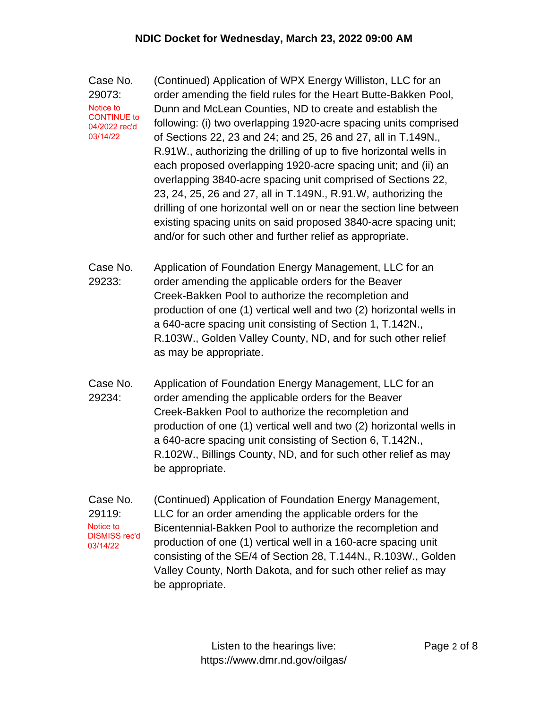Case No. 29073: (Continued) Application of WPX Energy Williston, LLC for an order amending the field rules for the Heart Butte-Bakken Pool, Dunn and McLean Counties, ND to create and establish the following: (i) two overlapping 1920-acre spacing units comprised of Sections 22, 23 and 24; and 25, 26 and 27, all in T.149N., R.91W., authorizing the drilling of up to five horizontal wells in each proposed overlapping 1920-acre spacing unit; and (ii) an overlapping 3840-acre spacing unit comprised of Sections 22, 23, 24, 25, 26 and 27, all in T.149N., R.91.W, authorizing the drilling of one horizontal well on or near the section line between existing spacing units on said proposed 3840-acre spacing unit; and/or for such other and further relief as appropriate. Notice to CONTINUE to 04/2022 rec'd 03/14/22

Case No. 29233: Application of Foundation Energy Management, LLC for an order amending the applicable orders for the Beaver Creek-Bakken Pool to authorize the recompletion and production of one (1) vertical well and two (2) horizontal wells in a 640-acre spacing unit consisting of Section 1, T.142N., R.103W., Golden Valley County, ND, and for such other relief as may be appropriate.

Case No. 29234: Application of Foundation Energy Management, LLC for an order amending the applicable orders for the Beaver Creek-Bakken Pool to authorize the recompletion and production of one (1) vertical well and two (2) horizontal wells in a 640-acre spacing unit consisting of Section 6, T.142N., R.102W., Billings County, ND, and for such other relief as may be appropriate.

Case No. 29119: (Continued) Application of Foundation Energy Management, LLC for an order amending the applicable orders for the Bicentennial-Bakken Pool to authorize the recompletion and production of one (1) vertical well in a 160-acre spacing unit consisting of the SE/4 of Section 28, T.144N., R.103W., Golden Valley County, North Dakota, and for such other relief as may be appropriate. Notice to DISMISS rec'd 03/14/22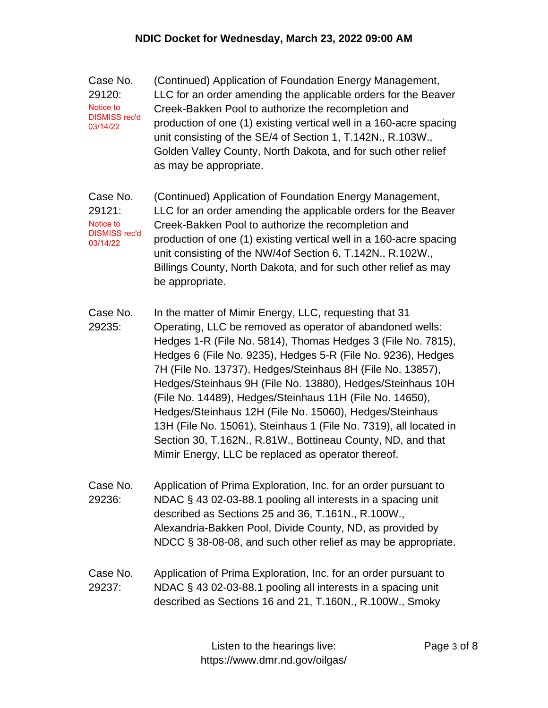| Case No.                                      | (Continued) Application of Foundation Energy Management,           |
|-----------------------------------------------|--------------------------------------------------------------------|
| 29120:                                        | LLC for an order amending the applicable orders for the Beaver     |
| Notice to<br><b>DISMISS rec'd</b><br>03/14/22 | Creek-Bakken Pool to authorize the recompletion and                |
|                                               | production of one (1) existing vertical well in a 160-acre spacing |
|                                               | unit consisting of the SE/4 of Section 1, T.142N., R.103W.,        |
|                                               | Golden Valley County, North Dakota, and for such other relief      |
|                                               | as may be appropriate.                                             |

- Case No. 29121: (Continued) Application of Foundation Energy Management, LLC for an order amending the applicable orders for the Beaver Creek-Bakken Pool to authorize the recompletion and production of one (1) existing vertical well in a 160-acre spacing unit consisting of the NW/4of Section 6, T.142N., R.102W., Billings County, North Dakota, and for such other relief as may be appropriate. Notice to DISMISS rec'd 03/14/22
- Case No. 29235: In the matter of Mimir Energy, LLC, requesting that 31 Operating, LLC be removed as operator of abandoned wells: Hedges 1-R (File No. 5814), Thomas Hedges 3 (File No. 7815), Hedges 6 (File No. 9235), Hedges 5-R (File No. 9236), Hedges 7H (File No. 13737), Hedges/Steinhaus 8H (File No. 13857), Hedges/Steinhaus 9H (File No. 13880), Hedges/Steinhaus 10H (File No. 14489), Hedges/Steinhaus 11H (File No. 14650), Hedges/Steinhaus 12H (File No. 15060), Hedges/Steinhaus 13H (File No. 15061), Steinhaus 1 (File No. 7319), all located in Section 30, T.162N., R.81W., Bottineau County, ND, and that Mimir Energy, LLC be replaced as operator thereof.
- Case No. 29236: Application of Prima Exploration, Inc. for an order pursuant to NDAC § 43 02-03-88.1 pooling all interests in a spacing unit described as Sections 25 and 36, T.161N., R.100W., Alexandria-Bakken Pool, Divide County, ND, as provided by NDCC § 38-08-08, and such other relief as may be appropriate.
- Case No. 29237: Application of Prima Exploration, Inc. for an order pursuant to NDAC § 43 02-03-88.1 pooling all interests in a spacing unit described as Sections 16 and 21, T.160N., R.100W., Smoky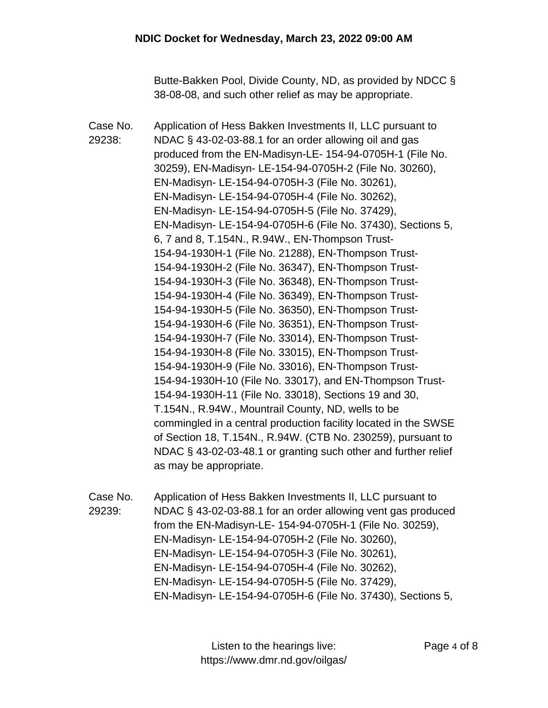Butte-Bakken Pool, Divide County, ND, as provided by NDCC § 38-08-08, and such other relief as may be appropriate.

Case No. 29238: Application of Hess Bakken Investments II, LLC pursuant to NDAC § 43-02-03-88.1 for an order allowing oil and gas produced from the EN-Madisyn-LE- 154-94-0705H-1 (File No. 30259), EN-Madisyn- LE-154-94-0705H-2 (File No. 30260), EN-Madisyn- LE-154-94-0705H-3 (File No. 30261), EN-Madisyn- LE-154-94-0705H-4 (File No. 30262), EN-Madisyn- LE-154-94-0705H-5 (File No. 37429), EN-Madisyn- LE-154-94-0705H-6 (File No. 37430), Sections 5, 6, 7 and 8, T.154N., R.94W., EN-Thompson Trust-154-94-1930H-1 (File No. 21288), EN-Thompson Trust-154-94-1930H-2 (File No. 36347), EN-Thompson Trust-154-94-1930H-3 (File No. 36348), EN-Thompson Trust-154-94-1930H-4 (File No. 36349), EN-Thompson Trust-154-94-1930H-5 (File No. 36350), EN-Thompson Trust-154-94-1930H-6 (File No. 36351), EN-Thompson Trust-154-94-1930H-7 (File No. 33014), EN-Thompson Trust-154-94-1930H-8 (File No. 33015), EN-Thompson Trust-154-94-1930H-9 (File No. 33016), EN-Thompson Trust-154-94-1930H-10 (File No. 33017), and EN-Thompson Trust-154-94-1930H-11 (File No. 33018), Sections 19 and 30, T.154N., R.94W., Mountrail County, ND, wells to be commingled in a central production facility located in the SWSE of Section 18, T.154N., R.94W. (CTB No. 230259), pursuant to NDAC § 43-02-03-48.1 or granting such other and further relief as may be appropriate.

Case No. 29239: Application of Hess Bakken Investments II, LLC pursuant to NDAC § 43-02-03-88.1 for an order allowing vent gas produced from the EN-Madisyn-LE- 154-94-0705H-1 (File No. 30259), EN-Madisyn- LE-154-94-0705H-2 (File No. 30260), EN-Madisyn- LE-154-94-0705H-3 (File No. 30261), EN-Madisyn- LE-154-94-0705H-4 (File No. 30262), EN-Madisyn- LE-154-94-0705H-5 (File No. 37429), EN-Madisyn- LE-154-94-0705H-6 (File No. 37430), Sections 5,

> Listen to the hearings live: https://www.dmr.nd.gov/oilgas/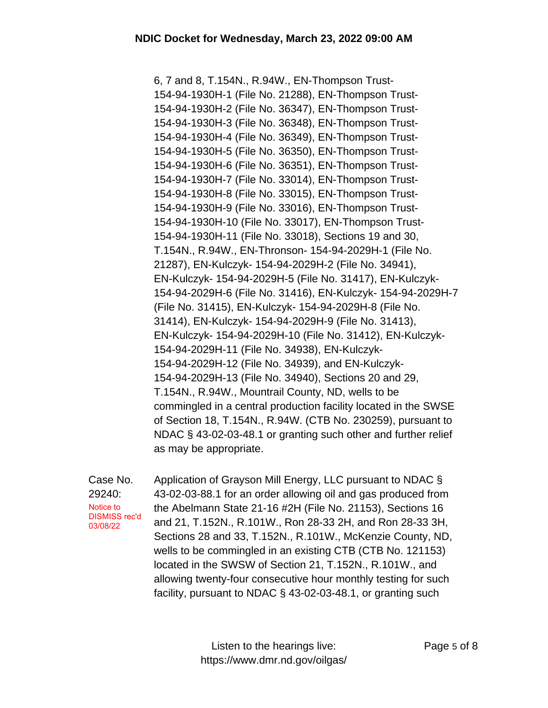6, 7 and 8, T.154N., R.94W., EN-Thompson Trust-154-94-1930H-1 (File No. 21288), EN-Thompson Trust-154-94-1930H-2 (File No. 36347), EN-Thompson Trust-154-94-1930H-3 (File No. 36348), EN-Thompson Trust-154-94-1930H-4 (File No. 36349), EN-Thompson Trust-154-94-1930H-5 (File No. 36350), EN-Thompson Trust-154-94-1930H-6 (File No. 36351), EN-Thompson Trust-154-94-1930H-7 (File No. 33014), EN-Thompson Trust-154-94-1930H-8 (File No. 33015), EN-Thompson Trust-154-94-1930H-9 (File No. 33016), EN-Thompson Trust-154-94-1930H-10 (File No. 33017), EN-Thompson Trust-154-94-1930H-11 (File No. 33018), Sections 19 and 30, T.154N., R.94W., EN-Thronson- 154-94-2029H-1 (File No. 21287), EN-Kulczyk- 154-94-2029H-2 (File No. 34941), EN-Kulczyk- 154-94-2029H-5 (File No. 31417), EN-Kulczyk-154-94-2029H-6 (File No. 31416), EN-Kulczyk- 154-94-2029H-7 (File No. 31415), EN-Kulczyk- 154-94-2029H-8 (File No. 31414), EN-Kulczyk- 154-94-2029H-9 (File No. 31413), EN-Kulczyk- 154-94-2029H-10 (File No. 31412), EN-Kulczyk-154-94-2029H-11 (File No. 34938), EN-Kulczyk-154-94-2029H-12 (File No. 34939), and EN-Kulczyk-154-94-2029H-13 (File No. 34940), Sections 20 and 29, T.154N., R.94W., Mountrail County, ND, wells to be commingled in a central production facility located in the SWSE of Section 18, T.154N., R.94W. (CTB No. 230259), pursuant to NDAC § 43-02-03-48.1 or granting such other and further relief as may be appropriate.

Case No. 29240: Application of Grayson Mill Energy, LLC pursuant to NDAC § 43-02-03-88.1 for an order allowing oil and gas produced from the Abelmann State 21-16 #2H (File No. 21153), Sections 16 and 21, T.152N., R.101W., Ron 28-33 2H, and Ron 28-33 3H, Sections 28 and 33, T.152N., R.101W., McKenzie County, ND, wells to be commingled in an existing CTB (CTB No. 121153) located in the SWSW of Section 21, T.152N., R.101W., and allowing twenty-four consecutive hour monthly testing for such facility, pursuant to NDAC § 43-02-03-48.1, or granting such Notice to DISMISS rec'd 03/08/22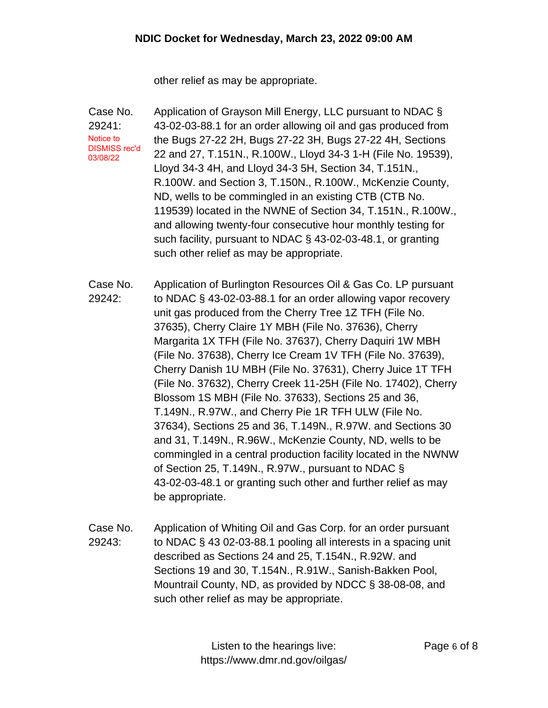other relief as may be appropriate.

Case No. 29241: Application of Grayson Mill Energy, LLC pursuant to NDAC § 43-02-03-88.1 for an order allowing oil and gas produced from the Bugs 27-22 2H, Bugs 27-22 3H, Bugs 27-22 4H, Sections 22 and 27, T.151N., R.100W., Lloyd 34-3 1-H (File No. 19539), Lloyd 34-3 4H, and Lloyd 34-3 5H, Section 34, T.151N., R.100W. and Section 3, T.150N., R.100W., McKenzie County, ND, wells to be commingled in an existing CTB (CTB No. 119539) located in the NWNE of Section 34, T.151N., R.100W., and allowing twenty-four consecutive hour monthly testing for such facility, pursuant to NDAC § 43-02-03-48.1, or granting such other relief as may be appropriate. Notice to DISMISS rec'd 03/08/22

Case No. 29242: Application of Burlington Resources Oil & Gas Co. LP pursuant to NDAC § 43-02-03-88.1 for an order allowing vapor recovery unit gas produced from the Cherry Tree 1Z TFH (File No. 37635), Cherry Claire 1Y MBH (File No. 37636), Cherry Margarita 1X TFH (File No. 37637), Cherry Daquiri 1W MBH (File No. 37638), Cherry Ice Cream 1V TFH (File No. 37639), Cherry Danish 1U MBH (File No. 37631), Cherry Juice 1T TFH (File No. 37632), Cherry Creek 11-25H (File No. 17402), Cherry Blossom 1S MBH (File No. 37633), Sections 25 and 36, T.149N., R.97W., and Cherry Pie 1R TFH ULW (File No. 37634), Sections 25 and 36, T.149N., R.97W. and Sections 30 and 31, T.149N., R.96W., McKenzie County, ND, wells to be commingled in a central production facility located in the NWNW of Section 25, T.149N., R.97W., pursuant to NDAC § 43-02-03-48.1 or granting such other and further relief as may be appropriate.

Case No. 29243: Application of Whiting Oil and Gas Corp. for an order pursuant to NDAC § 43 02-03-88.1 pooling all interests in a spacing unit described as Sections 24 and 25, T.154N., R.92W. and Sections 19 and 30, T.154N., R.91W., Sanish-Bakken Pool, Mountrail County, ND, as provided by NDCC § 38-08-08, and such other relief as may be appropriate.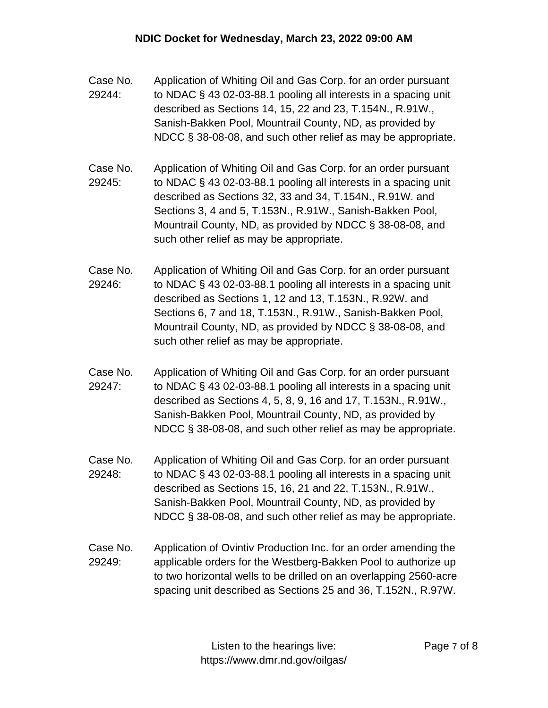- Case No. 29244: Application of Whiting Oil and Gas Corp. for an order pursuant to NDAC § 43 02-03-88.1 pooling all interests in a spacing unit described as Sections 14, 15, 22 and 23, T.154N., R.91W., Sanish-Bakken Pool, Mountrail County, ND, as provided by NDCC § 38-08-08, and such other relief as may be appropriate.
- Case No. 29245: Application of Whiting Oil and Gas Corp. for an order pursuant to NDAC § 43 02-03-88.1 pooling all interests in a spacing unit described as Sections 32, 33 and 34, T.154N., R.91W. and Sections 3, 4 and 5, T.153N., R.91W., Sanish-Bakken Pool, Mountrail County, ND, as provided by NDCC § 38-08-08, and such other relief as may be appropriate.
- Case No. 29246: Application of Whiting Oil and Gas Corp. for an order pursuant to NDAC § 43 02-03-88.1 pooling all interests in a spacing unit described as Sections 1, 12 and 13, T.153N., R.92W. and Sections 6, 7 and 18, T.153N., R.91W., Sanish-Bakken Pool, Mountrail County, ND, as provided by NDCC § 38-08-08, and such other relief as may be appropriate.
- Case No. 29247: Application of Whiting Oil and Gas Corp. for an order pursuant to NDAC § 43 02-03-88.1 pooling all interests in a spacing unit described as Sections 4, 5, 8, 9, 16 and 17, T.153N., R.91W., Sanish-Bakken Pool, Mountrail County, ND, as provided by NDCC § 38-08-08, and such other relief as may be appropriate.
- Case No. 29248: Application of Whiting Oil and Gas Corp. for an order pursuant to NDAC § 43 02-03-88.1 pooling all interests in a spacing unit described as Sections 15, 16, 21 and 22, T.153N., R.91W., Sanish-Bakken Pool, Mountrail County, ND, as provided by NDCC § 38-08-08, and such other relief as may be appropriate.
- Case No. 29249: Application of Ovintiv Production Inc. for an order amending the applicable orders for the Westberg-Bakken Pool to authorize up to two horizontal wells to be drilled on an overlapping 2560-acre spacing unit described as Sections 25 and 36, T.152N., R.97W.